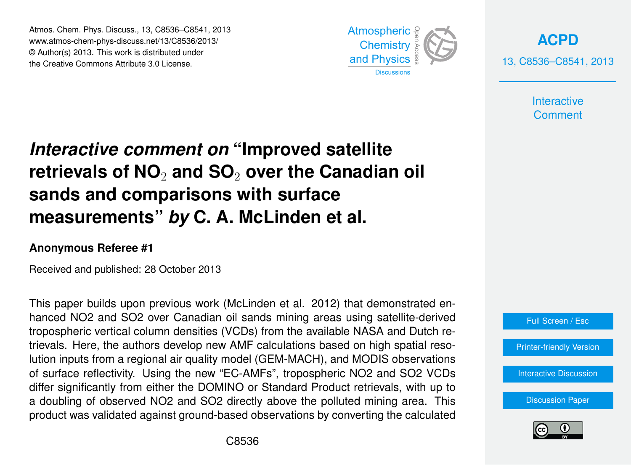Atmos. Chem. Phys. Discuss., 13, C8536–C8541, 2013 Atmospheric www.atmos-chem-phys-discuss.net/13/C8536/2013/<br>@ Author(a) 2012, This work is distributed under © Author(s) 2013. This work is distributed under the Creative Commons Attribute 3.0 License.



**[ACPD](http://www.atmos-chem-phys-discuss.net)** 13, C8536–C8541, 2013

> **Interactive Comment**

#### Interactive comment on "Improved satellite ہ<br>),  $\mathbf{j}$ retrievals of NO<sub>2</sub> and SO<sub>2</sub> over the Canadian oil  $\sim$ measurements" *by* C. A. McLinden et al. Open Access **sands and comparisons with surface**

### **Anonymous Referee #1**

Received and published: 28 October 2013

hanced NO2 and SO2 over Canadian oil sands mining areas using satellite-derived Ior Canadian C n densities (\*<br>. trievals. Here, the authors develop new AMF calculations based on high spatial resoil<br>'C<br>A Instrumentation tropospheric vertical column densities (VCDs) from the available NASA and Dutch re-)<br>Dı<br>ti lution inputs from a regional air quality model (GEM-MACH), and MODIS observations differ significantly from either the DOMINO or Standard Product retrievals, with up to a doubling of observed NO2 and SO2 directly above the polluted mining area. This C<br>انا ر<br>it<br>e of surface reflectivity. Using the new "EC-AMFs", tropospheric NO2 and SO2 VCDs This paper builds upon previous work (McLinden et al. 2012) that demonstrated enproduct was validated against ground-based observations by converting the calculated



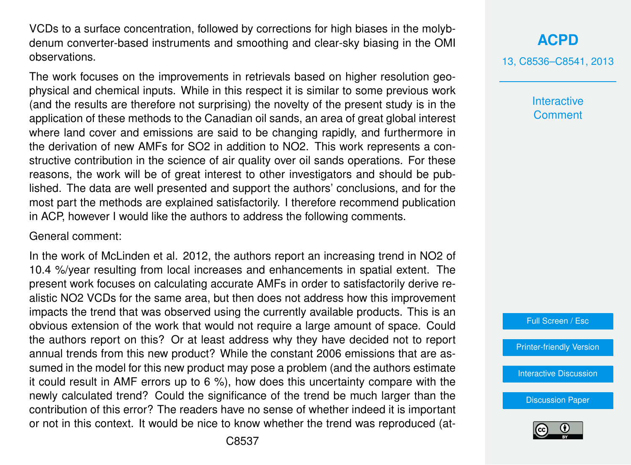VCDs to a surface concentration, followed by corrections for high biases in the molybdenum converter-based instruments and smoothing and clear-sky biasing in the OMI observations.

The work focuses on the improvements in retrievals based on higher resolution geophysical and chemical inputs. While in this respect it is similar to some previous work (and the results are therefore not surprising) the novelty of the present study is in the application of these methods to the Canadian oil sands, an area of great global interest where land cover and emissions are said to be changing rapidly, and furthermore in the derivation of new AMFs for SO2 in addition to NO2. This work represents a constructive contribution in the science of air quality over oil sands operations. For these reasons, the work will be of great interest to other investigators and should be published. The data are well presented and support the authors' conclusions, and for the most part the methods are explained satisfactorily. I therefore recommend publication in ACP, however I would like the authors to address the following comments.

#### General comment:

In the work of McLinden et al. 2012, the authors report an increasing trend in NO2 of 10.4 %/year resulting from local increases and enhancements in spatial extent. The present work focuses on calculating accurate AMFs in order to satisfactorily derive realistic NO2 VCDs for the same area, but then does not address how this improvement impacts the trend that was observed using the currently available products. This is an obvious extension of the work that would not require a large amount of space. Could the authors report on this? Or at least address why they have decided not to report annual trends from this new product? While the constant 2006 emissions that are assumed in the model for this new product may pose a problem (and the authors estimate it could result in AMF errors up to 6 %), how does this uncertainty compare with the newly calculated trend? Could the significance of the trend be much larger than the contribution of this error? The readers have no sense of whether indeed it is important or not in this context. It would be nice to know whether the trend was reproduced (at13, C8536–C8541, 2013

**Interactive Comment** 



[Printer-friendly Version](http://www.atmos-chem-phys-discuss.net/13/C8536/2013/acpd-13-C8536-2013-print.pdf)

[Interactive Discussion](http://www.atmos-chem-phys-discuss.net/13/21609/2013/acpd-13-21609-2013-discussion.html)

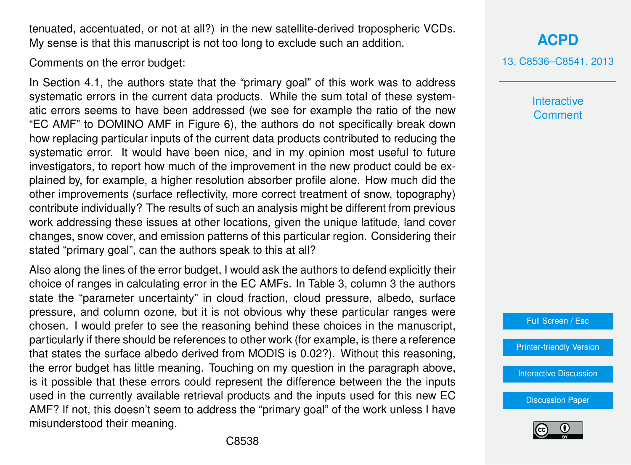tenuated, accentuated, or not at all?) in the new satellite-derived tropospheric VCDs. My sense is that this manuscript is not too long to exclude such an addition.

Comments on the error budget:

In Section 4.1, the authors state that the "primary goal" of this work was to address systematic errors in the current data products. While the sum total of these systematic errors seems to have been addressed (we see for example the ratio of the new "EC AMF" to DOMINO AMF in Figure 6), the authors do not specifically break down how replacing particular inputs of the current data products contributed to reducing the systematic error. It would have been nice, and in my opinion most useful to future investigators, to report how much of the improvement in the new product could be explained by, for example, a higher resolution absorber profile alone. How much did the other improvements (surface reflectivity, more correct treatment of snow, topography) contribute individually? The results of such an analysis might be different from previous work addressing these issues at other locations, given the unique latitude, land cover changes, snow cover, and emission patterns of this particular region. Considering their stated "primary goal", can the authors speak to this at all?

Also along the lines of the error budget, I would ask the authors to defend explicitly their choice of ranges in calculating error in the EC AMFs. In Table 3, column 3 the authors state the "parameter uncertainty" in cloud fraction, cloud pressure, albedo, surface pressure, and column ozone, but it is not obvious why these particular ranges were chosen. I would prefer to see the reasoning behind these choices in the manuscript, particularly if there should be references to other work (for example, is there a reference that states the surface albedo derived from MODIS is 0.02?). Without this reasoning, the error budget has little meaning. Touching on my question in the paragraph above, is it possible that these errors could represent the difference between the the inputs used in the currently available retrieval products and the inputs used for this new EC AMF? If not, this doesn't seem to address the "primary goal" of the work unless I have misunderstood their meaning.

**[ACPD](http://www.atmos-chem-phys-discuss.net)**

13, C8536–C8541, 2013

**Interactive Comment** 

Full Screen / Esc

[Printer-friendly Version](http://www.atmos-chem-phys-discuss.net/13/C8536/2013/acpd-13-C8536-2013-print.pdf)

[Interactive Discussion](http://www.atmos-chem-phys-discuss.net/13/21609/2013/acpd-13-21609-2013-discussion.html)

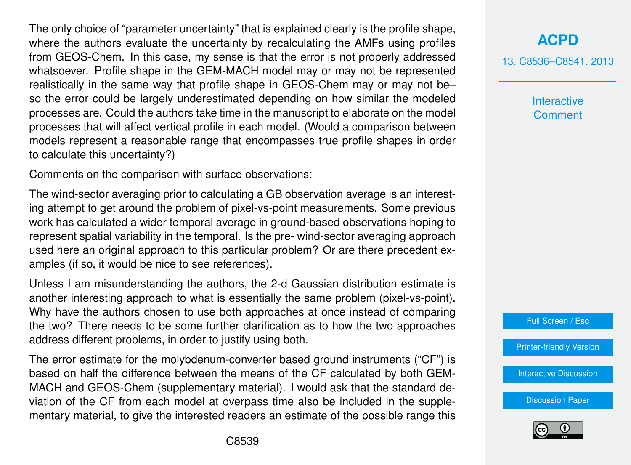The only choice of "parameter uncertainty" that is explained clearly is the profile shape, where the authors evaluate the uncertainty by recalculating the AMFs using profiles from GEOS-Chem. In this case, my sense is that the error is not properly addressed whatsoever. Profile shape in the GEM-MACH model may or may not be represented realistically in the same way that profile shape in GEOS-Chem may or may not be– so the error could be largely underestimated depending on how similar the modeled processes are. Could the authors take time in the manuscript to elaborate on the model processes that will affect vertical profile in each model. (Would a comparison between models represent a reasonable range that encompasses true profile shapes in order to calculate this uncertainty?)

Comments on the comparison with surface observations:

The wind-sector averaging prior to calculating a GB observation average is an interesting attempt to get around the problem of pixel-vs-point measurements. Some previous work has calculated a wider temporal average in ground-based observations hoping to represent spatial variability in the temporal. Is the pre- wind-sector averaging approach used here an original approach to this particular problem? Or are there precedent examples (if so, it would be nice to see references).

Unless I am misunderstanding the authors, the 2-d Gaussian distribution estimate is another interesting approach to what is essentially the same problem (pixel-vs-point). Why have the authors chosen to use both approaches at once instead of comparing the two? There needs to be some further clarification as to how the two approaches address different problems, in order to justify using both.

The error estimate for the molybdenum-converter based ground instruments ("CF") is based on half the difference between the means of the CF calculated by both GEM-MACH and GEOS-Chem (supplementary material). I would ask that the standard deviation of the CF from each model at overpass time also be included in the supplementary material, to give the interested readers an estimate of the possible range this 13, C8536–C8541, 2013

**Interactive Comment** 



[Printer-friendly Version](http://www.atmos-chem-phys-discuss.net/13/C8536/2013/acpd-13-C8536-2013-print.pdf)

[Interactive Discussion](http://www.atmos-chem-phys-discuss.net/13/21609/2013/acpd-13-21609-2013-discussion.html)

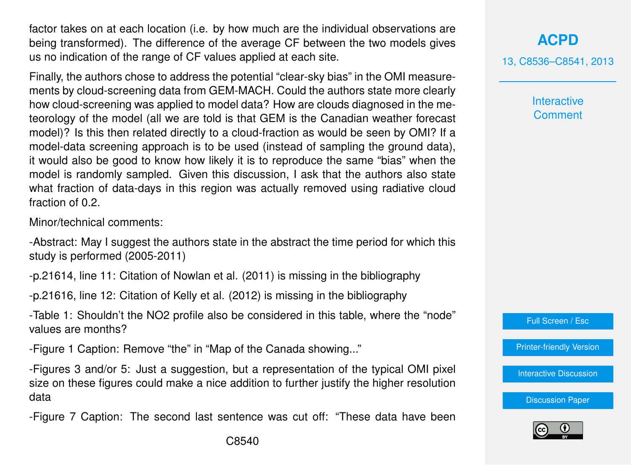factor takes on at each location (i.e. by how much are the individual observations are being transformed). The difference of the average CF between the two models gives us no indication of the range of CF values applied at each site.

Finally, the authors chose to address the potential "clear-sky bias" in the OMI measurements by cloud-screening data from GEM-MACH. Could the authors state more clearly how cloud-screening was applied to model data? How are clouds diagnosed in the meteorology of the model (all we are told is that GEM is the Canadian weather forecast model)? Is this then related directly to a cloud-fraction as would be seen by OMI? If a model-data screening approach is to be used (instead of sampling the ground data), it would also be good to know how likely it is to reproduce the same "bias" when the model is randomly sampled. Given this discussion, I ask that the authors also state what fraction of data-days in this region was actually removed using radiative cloud fraction of 0.2.

Minor/technical comments:

-Abstract: May I suggest the authors state in the abstract the time period for which this study is performed (2005-2011)

-p.21614, line 11: Citation of Nowlan et al. (2011) is missing in the bibliography

-p.21616, line 12: Citation of Kelly et al. (2012) is missing in the bibliography

-Table 1: Shouldn't the NO2 profile also be considered in this table, where the "node" values are months?

-Figure 1 Caption: Remove "the" in "Map of the Canada showing..."

-Figures 3 and/or 5: Just a suggestion, but a representation of the typical OMI pixel size on these figures could make a nice addition to further justify the higher resolution data

-Figure 7 Caption: The second last sentence was cut off: "These data have been

# **[ACPD](http://www.atmos-chem-phys-discuss.net)**

13, C8536–C8541, 2013

**Interactive Comment** 

Full Screen / Esc

[Printer-friendly Version](http://www.atmos-chem-phys-discuss.net/13/C8536/2013/acpd-13-C8536-2013-print.pdf)

[Interactive Discussion](http://www.atmos-chem-phys-discuss.net/13/21609/2013/acpd-13-21609-2013-discussion.html)